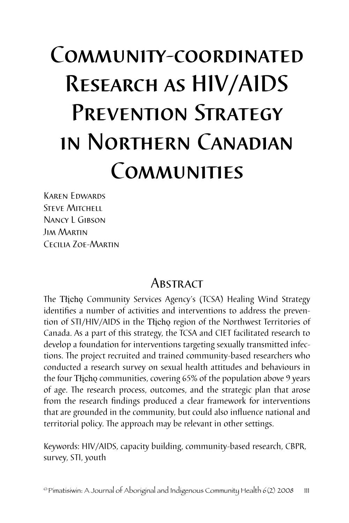# Community-coordinated Research as HIV/AIDS PREVENTION STRATEGY in Northern Canadian **COMMUNITIES**

Karen Edwards **STEVE MITCHELL** Nancy L Gibson Jim Martin Cecilia Zoe-Martin

# **ABSTRACT**

The Tłįchǫ Community Services Agency's (TCSA) Healing Wind Strategy identifies a number of activities and interventions to address the prevention of STI/HIV/AIDS in the Tłįchǫ region of the Northwest Territories of Canada. As a part of this strategy, the TCSA and CIET facilitated research to develop a foundation for interventions targeting sexually transmitted infections. The project recruited and trained community-based researchers who conducted a research survey on sexual health attitudes and behaviours in the four Tłįcho communities, covering 65% of the population above 9 years of age. The research process, outcomes, and the strategic plan that arose from the research findings produced a clear framework for interventions that are grounded in the community, but could also influence national and territorial policy. The approach may be relevant in other settings.

Keywords: HIV/AIDS, capacity building, community-based research, CBPR, survey, STI, youth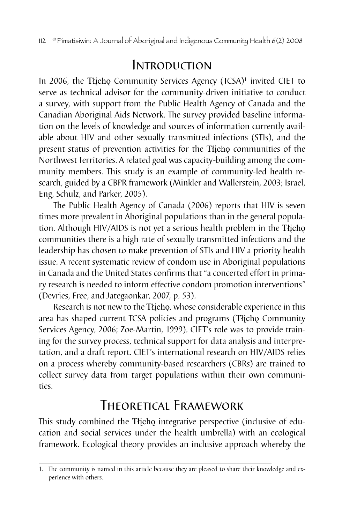# Introduction

In 2006, the Tłįchǫ Community Services Agency (TCSA)1 invited CIET to serve as technical advisor for the community-driven initiative to conduct a survey, with support from the Public Health Agency of Canada and the Canadian Aboriginal Aids Network. The survey provided baseline information on the levels of knowledge and sources of information currently available about HIV and other sexually transmitted infections (STIs), and the present status of prevention activities for the Tłicho communities of the Northwest Territories. A related goal was capacity-building among the community members. This study is an example of community-led health research, guided by a CBPR framework (Minkler and Wallerstein, 2003; Israel, Eng, Schulz, and Parker, 2005).

The Public Health Agency of Canada (2006) reports that HIV is seven times more prevalent in Aboriginal populations than in the general population. Although HIV/AIDS is not yet a serious health problem in the Tłicho communities there is a high rate of sexually transmitted infections and the leadership has chosen to make prevention of STIs and HIV a priority health issue. A recent systematic review of condom use in Aboriginal populations in Canada and the United States confirms that "a concerted effort in primary research is needed to inform effective condom promotion interventions" (Devries, Free, and Jategaonkar, 2007, p. 53).

Research is not new to the Tłįchǫ, whose considerable experience in this area has shaped current TCSA policies and programs (Tłįcho Community Services Agency, 2006; Zoe-Martin, 1999). CIET's role was to provide training for the survey process, technical support for data analysis and interpretation, and a draft report. CIET's international research on HIV/AIDS relies on a process whereby community-based researchers (CBRs) are trained to collect survey data from target populations within their own communities.

# Theoretical Framework

This study combined the Tłicho integrative perspective (inclusive of education and social services under the health umbrella) with an ecological framework. Ecological theory provides an inclusive approach whereby the

<sup>1.</sup> The community is named in this article because they are pleased to share their knowledge and experience with others.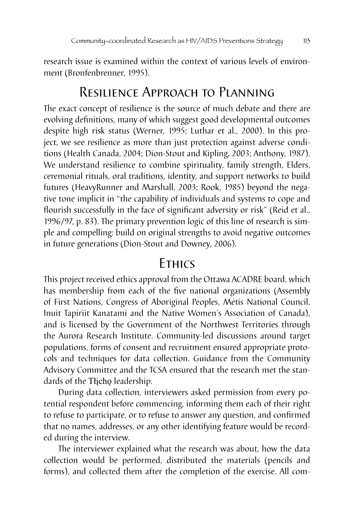research issue is examined within the context of various levels of environment (Bronfenbrenner, 1995).

## Resilience Approach to Planning

The exact concept of resilience is the source of much debate and there are evolving definitions, many of which suggest good developmental outcomes despite high risk status (Werner, 1995; Luthar et al., 2000). In this project, we see resilience as more than just protection against adverse conditions (Health Canada, 2004; Dion-Stout and Kipling, 2003; Anthony, 1987). We understand resilience to combine spirituality, family strength, Elders, ceremonial rituals, oral traditions, identity, and support networks to build futures (HeavyRunner and Marshall, 2003; Rook, 1985) beyond the negative tone implicit in "the capability of individuals and systems to cope and flourish successfully in the face of significant adversity or risk" (Reid et al., 1996/97, p. 83). The primary prevention logic of this line of research is simple and compelling: build on original strengths to avoid negative outcomes in future generations (Dion-Stout and Downey, 2006).

## **FTHICS**

This project received ethics approval from the Ottawa ACADRE board, which has membership from each of the five national organizations (Assembly of First Nations, Congress of Aboriginal Peoples, Métis National Council, Inuit Tapiriit Kanatami and the Native Women's Association of Canada), and is licensed by the Government of the Northwest Territories through the Aurora Research Institute. Community-led discussions around target populations, forms of consent and recruitment ensured appropriate protocols and techniques for data collection. Guidance from the Community Advisory Committee and the TCSA ensured that the research met the standards of the Tłįcho leadership.

During data collection, interviewers asked permission from every potential respondent before commencing, informing them each of their right to refuse to participate, or to refuse to answer any question, and confirmed that no names, addresses, or any other identifying feature would be recorded during the interview.

The interviewer explained what the research was about, how the data collection would be performed, distributed the materials (pencils and forms), and collected them after the completion of the exercise. All com-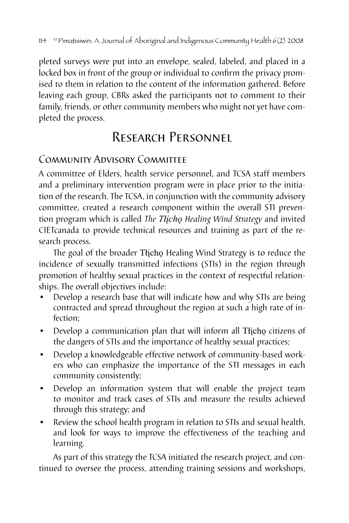pleted surveys were put into an envelope, sealed, labeled, and placed in a locked box in front of the group or individual to confirm the privacy promised to them in relation to the content of the information gathered. Before leaving each group, CBRs asked the participants not to comment to their family, friends, or other community members who might not yet have completed the process.

# Research Personnel

## COMMUNITY ADVISORY COMMITTEE

A committee of Elders, health service personnel, and TCSA staff members and a preliminary intervention program were in place prior to the initiation of the research. The TCSA, in conjunction with the community advisory committee, created a research component within the overall STI prevention program which is called *The Tłįchǫ Healing Wind Strategy* and invited CIETcanada to provide technical resources and training as part of the research process.

The goal of the broader Tłicho Healing Wind Strategy is to reduce the incidence of sexually transmitted infections (STIs) in the region through promotion of healthy sexual practices in the context of respectful relationships. The overall objectives include:

- Develop a research base that will indicate how and why STIs are being contracted and spread throughout the region at such a high rate of infection;
- Develop a communication plan that will inform all Tłįcho citizens of the dangers of STIs and the importance of healthy sexual practices;
- Develop a knowledgeable effective network of community-based workers who can emphasize the importance of the STI messages in each community consistently;
- Develop an information system that will enable the project team to monitor and track cases of STIs and measure the results achieved through this strategy; and
- Review the school health program in relation to STIs and sexual health, and look for ways to improve the effectiveness of the teaching and learning.

As part of this strategy the TCSA initiated the research project, and continued to oversee the process, attending training sessions and workshops,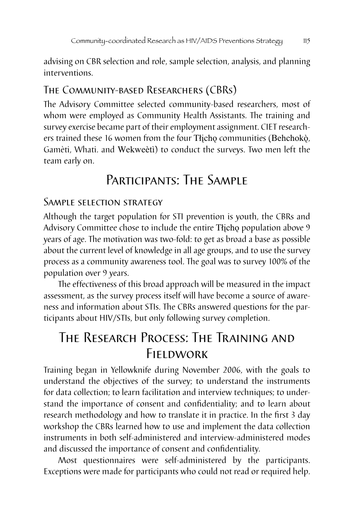advising on CBR selection and role, sample selection, analysis, and planning interventions.

#### The Community-based Researchers (CBRs)

The Advisory Committee selected community-based researchers, most of whom were employed as Community Health Assistants. The training and survey exercise became part of their employment assignment. CIET researchers trained these 16 women from the four Tłįcho communities (Behchokò, Gamèti, Whati. and Wekweètì) to conduct the surveys. Two men left the team early on.

# PARTICIPANTS: THE SAMPLE

#### Sample selection strategy

Although the target population for STI prevention is youth, the CBRs and Advisory Committee chose to include the entire Tłįcho population above 9 years of age. The motivation was two-fold: to get as broad a base as possible about the current level of knowledge in all age groups, and to use the survey process as a community awareness tool. The goal was to survey 100% of the population over 9 years.

The effectiveness of this broad approach will be measured in the impact assessment, as the survey process itself will have become a source of awareness and information about STIs. The CBRs answered questions for the participants about HIV/STIs, but only following survey completion.

# The Research Process: The Training and Fieldwork

Training began in Yellowknife during November 2006, with the goals to understand the objectives of the survey; to understand the instruments for data collection; to learn facilitation and interview techniques; to understand the importance of consent and confidentiality; and to learn about research methodology and how to translate it in practice. In the first 3 day workshop the CBRs learned how to use and implement the data collection instruments in both self-administered and interview-administered modes and discussed the importance of consent and confidentiality.

Most questionnaires were self-administered by the participants. Exceptions were made for participants who could not read or required help.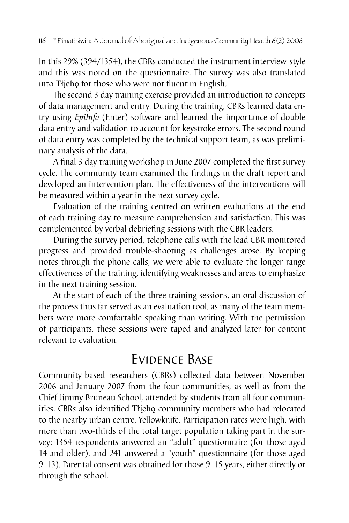In this 29% (394/1354), the CBRs conducted the instrument interview-style and this was noted on the questionnaire. The survey was also translated into Tłįchǫ for those who were not fluent in English.

The second 3 day training exercise provided an introduction to concepts of data management and entry. During the training, CBRs learned data entry using *EpiInfo* (Enter) software and learned the importance of double data entry and validation to account for keystroke errors. The second round of data entry was completed by the technical support team, as was preliminary analysis of the data.

A final 3 day training workshop in June 2007 completed the first survey cycle. The community team examined the findings in the draft report and developed an intervention plan. The effectiveness of the interventions will be measured within a year in the next survey cycle.

Evaluation of the training centred on written evaluations at the end of each training day to measure comprehension and satisfaction. This was complemented by verbal debriefing sessions with the CBR leaders.

During the survey period, telephone calls with the lead CBR monitored progress and provided trouble-shooting as challenges arose. By keeping notes through the phone calls, we were able to evaluate the longer range effectiveness of the training, identifying weaknesses and areas to emphasize in the next training session.

At the start of each of the three training sessions, an oral discussion of the process thus far served as an evaluation tool, as many of the team members were more comfortable speaking than writing. With the permission of participants, these sessions were taped and analyzed later for content relevant to evaluation.

# Evidence Base

Community-based researchers (CBRs) collected data between November 2006 and January 2007 from the four communities, as well as from the Chief Jimmy Bruneau School, attended by students from all four communities. CBRs also identified Tłįcho community members who had relocated to the nearby urban centre, Yellowknife. Participation rates were high, with more than two-thirds of the total target population taking part in the survey: 1354 respondents answered an "adult" questionnaire (for those aged 14 and older), and 241 answered a "youth" questionnaire (for those aged 9–13). Parental consent was obtained for those 9–15 years, either directly or through the school.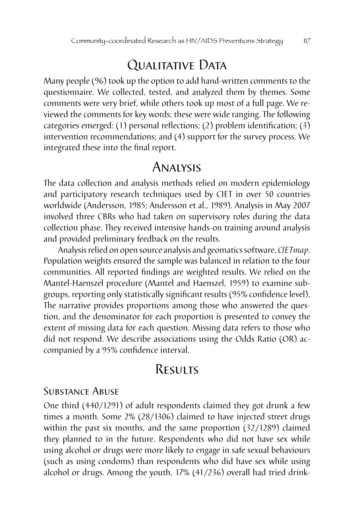# QUALITATIVE DATA

Many people (96) took up the option to add hand-written comments to the questionnaire. We collected, tested, and analyzed them by themes. Some comments were very brief, while others took up most of a full page. We reviewed the comments for key words; these were wide ranging. The following categories emerged: (1) personal reflections; (2) problem identification; (3) intervention recommendations; and (4) support for the survey process. We integrated these into the final report.

## Analysis

The data collection and analysis methods relied on modern epidemiology and participatory research techniques used by CIET in over 50 countries worldwide (Andersson, 1985; Andersson et al., 1989). Analysis in May 2007 involved three CBRs who had taken on supervisory roles during the data collection phase. They received intensive hands-on training around analysis and provided preliminary feedback on the results.

Analysis relied on open source analysis and geomatics software, *CIETmap*. Population weights ensured the sample was balanced in relation to the four communities. All reported findings are weighted results. We relied on the Mantel-Haenszel procedure (Mantel and Haenszel, 1959) to examine subgroups, reporting only statistically significant results (95% confidence level). The narrative provides proportions among those who answered the question, and the denominator for each proportion is presented to convey the extent of missing data for each question. Missing data refers to those who did not respond. We describe associations using the Odds Ratio (OR) accompanied by a 95% confidence interval.

## **RESULTS**

#### Substance Abuse

One third (440/1291) of adult respondents claimed they got drunk a few times a month. Some 2% (28/1306) claimed to have injected street drugs within the past six months, and the same proportion (32/1289) claimed they planned to in the future. Respondents who did not have sex while using alcohol or drugs were more likely to engage in safe sexual behaviours (such as using condoms) than respondents who did have sex while using alcohol or drugs. Among the youth, 17% (41/236) overall had tried drink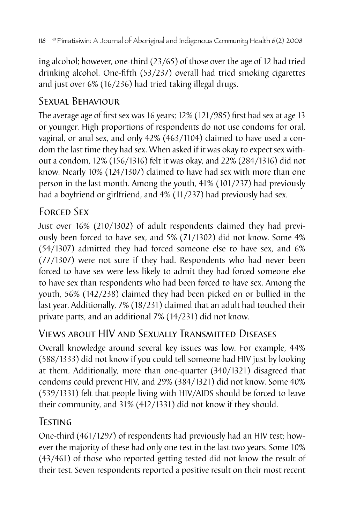ing alcohol; however, one-third (23/65) of those over the age of 12 had tried drinking alcohol. One-fifth (53/237) overall had tried smoking cigarettes and just over 6% (16/236) had tried taking illegal drugs.

## SEXUAI BEHAVIOUR

The average age of first sex was 16 years; 12% (121/985) first had sex at age 13 or younger. High proportions of respondents do not use condoms for oral, vaginal, or anal sex, and only 42% (463/1104) claimed to have used a condom the last time they had sex. When asked if it was okay to expect sex without a condom, 12% (156/1316) felt it was okay, and 22% (284/1316) did not know. Nearly 10% (124/1307) claimed to have had sex with more than one person in the last month. Among the youth, 41% (101/237) had previously had a boyfriend or girlfriend, and 4% (11/237) had previously had sex.

## Forced Sex

Just over 16% (210/1302) of adult respondents claimed they had previously been forced to have sex, and 5% (71/1302) did not know. Some 4% (54/1307) admitted they had forced someone else to have sex, and 6% (77/1307) were not sure if they had. Respondents who had never been forced to have sex were less likely to admit they had forced someone else to have sex than respondents who had been forced to have sex. Among the youth, 56% (142/238) claimed they had been picked on or bullied in the last year. Additionally, 7% (18/231) claimed that an adult had touched their private parts, and an additional 7% (14/231) did not know.

## Views about HIV and Sexually Transmitted Diseases

Overall knowledge around several key issues was low. For example, 44% (588/1333) did not know if you could tell someone had HIV just by looking at them. Additionally, more than one-quarter (340/1321) disagreed that condoms could prevent HIV, and 29% (384/1321) did not know. Some 40% (539/1331) felt that people living with HIV/AIDS should be forced to leave their community, and 31% (412/1331) did not know if they should.

## Testing

One-third (461/1297) of respondents had previously had an HIV test; however the majority of these had only one test in the last two years. Some 10% (43/461) of those who reported getting tested did not know the result of their test. Seven respondents reported a positive result on their most recent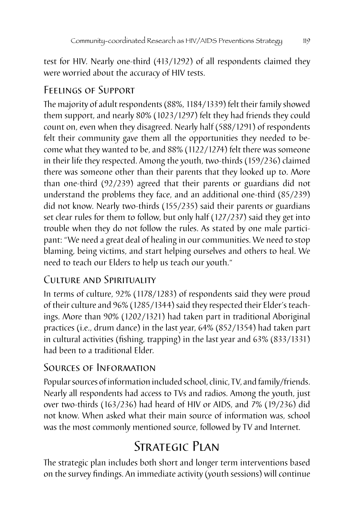test for HIV. Nearly one-third (413/1292) of all respondents claimed they were worried about the accuracy of HIV tests.

## Feelings of Support

The majority of adult respondents (88%, 1184/1339) felt their family showed them support, and nearly 80% (1023/1297) felt they had friends they could count on, even when they disagreed. Nearly half (588/1291) of respondents felt their community gave them all the opportunities they needed to become what they wanted to be, and 88% (1122/1274) felt there was someone in their life they respected. Among the youth, two-thirds (159/236) claimed there was someone other than their parents that they looked up to. More than one-third (92/239) agreed that their parents or guardians did not understand the problems they face, and an additional one-third (85/239) did not know. Nearly two-thirds (155/235) said their parents or guardians set clear rules for them to follow, but only half (127/237) said they get into trouble when they do not follow the rules. As stated by one male participant: "We need a great deal of healing in our communities. We need to stop blaming, being victims, and start helping ourselves and others to heal. We need to teach our Elders to help us teach our youth."

## Culture and Spirituality

In terms of culture, 92% (1178/1283) of respondents said they were proud of their culture and 96% (1285/1344) said they respected their Elder's teachings. More than 90% (1202/1321) had taken part in traditional Aboriginal practices (i.e., drum dance) in the last year, 64% (852/1354) had taken part in cultural activities (fishing, trapping) in the last year and 63% (833/1331) had been to a traditional Elder.

### Sources of Information

Popular sources of information included school, clinic, TV, and family/friends. Nearly all respondents had access to TVs and radios. Among the youth, just over two-thirds (163/236) had heard of HIV or AIDS, and 7% (19/236) did not know. When asked what their main source of information was, school was the most commonly mentioned source, followed by TV and Internet.

# STRATEGIC PLAN

The strategic plan includes both short and longer term interventions based on the survey findings. An immediate activity (youth sessions) will continue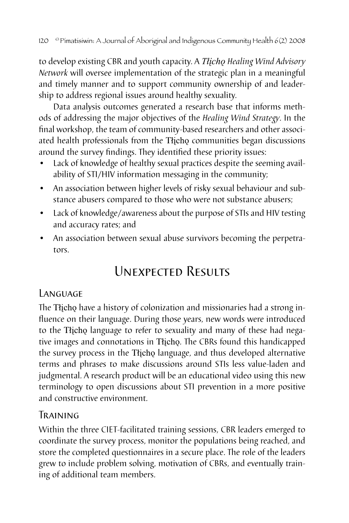to develop existing CBR and youth capacity. A *Tłįchǫ Healing Wind Advisory Network* will oversee implementation of the strategic plan in a meaningful and timely manner and to support community ownership of and leadership to address regional issues around healthy sexuality.

Data analysis outcomes generated a research base that informs methods of addressing the major objectives of the *Healing Wind Strategy*. In the final workshop, the team of community-based researchers and other associated health professionals from the Tłįcho communities began discussions around the survey findings. They identified these priority issues:

- Lack of knowledge of healthy sexual practices despite the seeming availability of STI/HIV information messaging in the community;
- An association between higher levels of risky sexual behaviour and substance abusers compared to those who were not substance abusers;
- Lack of knowledge/awareness about the purpose of STIs and HIV testing and accuracy rates; and
- An association between sexual abuse survivors becoming the perpetrators.

# Unexpected Results

### Language

The Tłįchǫ have a history of colonization and missionaries had a strong influence on their language. During those years, new words were introduced to the Tłįchǫ language to refer to sexuality and many of these had negative images and connotations in Tłįchǫ. The CBRs found this handicapped the survey process in the Tłįchǫ language, and thus developed alternative terms and phrases to make discussions around STIs less value-laden and judgmental. A research product will be an educational video using this new terminology to open discussions about STI prevention in a more positive and constructive environment.

#### Training

Within the three CIET-facilitated training sessions, CBR leaders emerged to coordinate the survey process, monitor the populations being reached, and store the completed questionnaires in a secure place. The role of the leaders grew to include problem solving, motivation of CBRs, and eventually training of additional team members.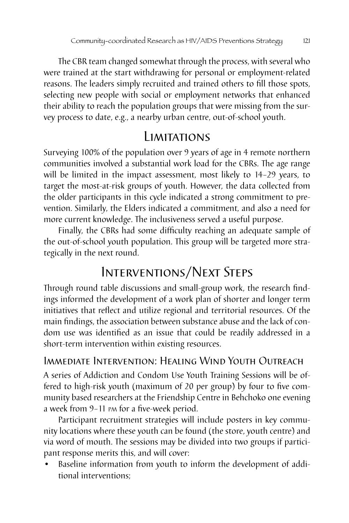The CBR team changed somewhat through the process, with several who were trained at the start withdrawing for personal or employment-related reasons. The leaders simply recruited and trained others to fill those spots, selecting new people with social or employment networks that enhanced their ability to reach the population groups that were missing from the survey process to date, e.g., a nearby urban centre, out-of-school youth.

# Limitations

Surveying 100% of the population over 9 years of age in 4 remote northern communities involved a substantial work load for the CBRs. The age range will be limited in the impact assessment, most likely to 14–29 years, to target the most-at-risk groups of youth. However, the data collected from the older participants in this cycle indicated a strong commitment to prevention. Similarly, the Elders indicated a commitment, and also a need for more current knowledge. The inclusiveness served a useful purpose.

Finally, the CBRs had some difficulty reaching an adequate sample of the out-of-school youth population. This group will be targeted more strategically in the next round.

# Interventions/Next Steps

Through round table discussions and small-group work, the research findings informed the development of a work plan of shorter and longer term initiatives that reflect and utilize regional and territorial resources. Of the main findings, the association between substance abuse and the lack of condom use was identified as an issue that could be readily addressed in a short-term intervention within existing resources.

### Immediate Intervention: Healing Wind Youth Outreach

A series of Addiction and Condom Use Youth Training Sessions will be offered to high-risk youth (maximum of 20 per group) by four to five community based researchers at the Friendship Centre in Behchoko one evening a week from 9–11 pm for a five-week period.

Participant recruitment strategies will include posters in key community locations where these youth can be found (the store, youth centre) and via word of mouth. The sessions may be divided into two groups if participant response merits this, and will cover:

Baseline information from youth to inform the development of additional interventions;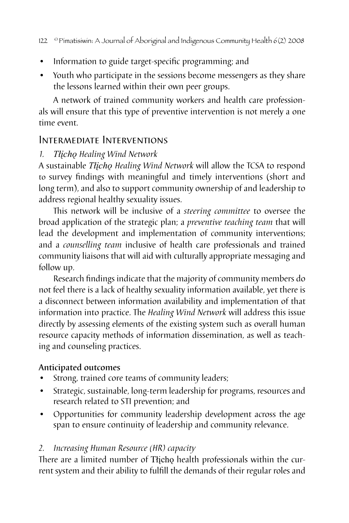- Information to guide target-specific programming; and
- Youth who participate in the sessions become messengers as they share the lessons learned within their own peer groups.

A network of trained community workers and health care professionals will ensure that this type of preventive intervention is not merely a one time event.

#### Intermediate Interventions

#### *1. Tłįchǫ Healing Wind Network*

A sustainable *Tłįchǫ Healing Wind Network* will allow the TCSA to respond to survey findings with meaningful and timely interventions (short and long term), and also to support community ownership of and leadership to address regional healthy sexuality issues.

This network will be inclusive of a *steering committee* to oversee the broad application of the strategic plan; a *preventive teaching team* that will lead the development and implementation of community interventions; and a *counselling team* inclusive of health care professionals and trained community liaisons that will aid with culturally appropriate messaging and follow up.

Research findings indicate that the majority of community members do not feel there is a lack of healthy sexuality information available, yet there is a disconnect between information availability and implementation of that information into practice. The *Healing Wind Network* will address this issue directly by assessing elements of the existing system such as overall human resource capacity methods of information dissemination, as well as teaching and counseling practices.

#### Anticipated outcomes

- Strong, trained core teams of community leaders;
- Strategic, sustainable, long-term leadership for programs, resources and research related to STI prevention; and
- Opportunities for community leadership development across the age span to ensure continuity of leadership and community relevance.

#### *2. Increasing Human Resource (HR) capacity*

There are a limited number of Tłįcho health professionals within the current system and their ability to fulfill the demands of their regular roles and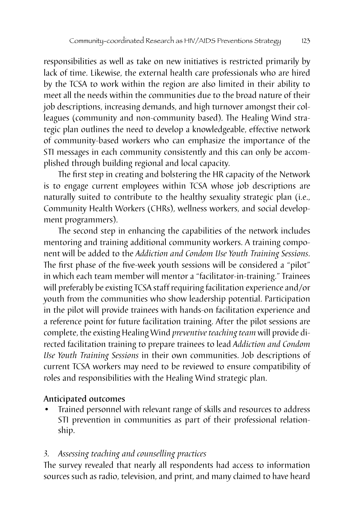responsibilities as well as take on new initiatives is restricted primarily by lack of time. Likewise, the external health care professionals who are hired by the TCSA to work within the region are also limited in their ability to meet all the needs within the communities due to the broad nature of their job descriptions, increasing demands, and high turnover amongst their colleagues (community and non-community based). The Healing Wind strategic plan outlines the need to develop a knowledgeable, effective network of community-based workers who can emphasize the importance of the STI messages in each community consistently and this can only be accomplished through building regional and local capacity.

The first step in creating and bolstering the HR capacity of the Network is to engage current employees within TCSA whose job descriptions are naturally suited to contribute to the healthy sexuality strategic plan (i.e., Community Health Workers (CHRs), wellness workers, and social development programmers).

The second step in enhancing the capabilities of the network includes mentoring and training additional community workers. A training component will be added to the *Addiction and Condom Use Youth Training Sessions*. The first phase of the five-week youth sessions will be considered a "pilot" in which each team member will mentor a "facilitator-in-training." Trainees will preferably be existing TCSA staff requiring facilitation experience and/or youth from the communities who show leadership potential. Participation in the pilot will provide trainees with hands-on facilitation experience and a reference point for future facilitation training. After the pilot sessions are complete, the existing Healing Wind *preventive teaching team* will provide directed facilitation training to prepare trainees to lead *Addiction and Condom Use Youth Training Sessions* in their own communities. Job descriptions of current TCSA workers may need to be reviewed to ensure compatibility of roles and responsibilities with the Healing Wind strategic plan.

#### Anticipated outcomes

Trained personnel with relevant range of skills and resources to address STI prevention in communities as part of their professional relationship.

#### *3. Assessing teaching and counselling practices*

The survey revealed that nearly all respondents had access to information sources such as radio, television, and print, and many claimed to have heard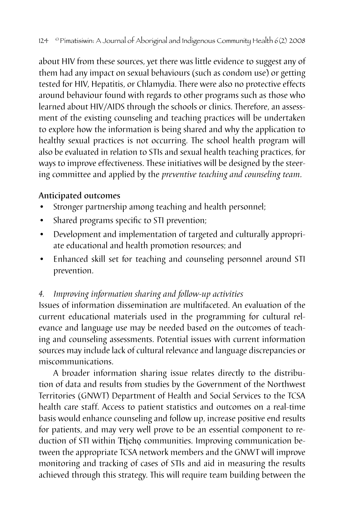about HIV from these sources, yet there was little evidence to suggest any of them had any impact on sexual behaviours (such as condom use) or getting tested for HIV, Hepatitis, or Chlamydia. There were also no protective effects around behaviour found with regards to other programs such as those who learned about HIV/AIDS through the schools or clinics. Therefore, an assessment of the existing counseling and teaching practices will be undertaken to explore how the information is being shared and why the application to healthy sexual practices is not occurring. The school health program will also be evaluated in relation to STIs and sexual health teaching practices, for ways to improve effectiveness. These initiatives will be designed by the steering committee and applied by the *preventive teaching and counseling team*.

#### Anticipated outcomes

- Stronger partnership among teaching and health personnel;
- Shared programs specific to STI prevention;
- Development and implementation of targeted and culturally appropriate educational and health promotion resources; and
- Enhanced skill set for teaching and counseling personnel around STI prevention.

#### *4. Improving information sharing and follow-up activities*

Issues of information dissemination are multifaceted. An evaluation of the current educational materials used in the programming for cultural relevance and language use may be needed based on the outcomes of teaching and counseling assessments. Potential issues with current information sources may include lack of cultural relevance and language discrepancies or miscommunications.

A broader information sharing issue relates directly to the distribution of data and results from studies by the Government of the Northwest Territories (GNWT) Department of Health and Social Services to the TCSA health care staff. Access to patient statistics and outcomes on a real-time basis would enhance counseling and follow up, increase positive end results for patients, and may very well prove to be an essential component to reduction of STI within Tłįcho communities. Improving communication between the appropriate TCSA network members and the GNWT will improve monitoring and tracking of cases of STIs and aid in measuring the results achieved through this strategy. This will require team building between the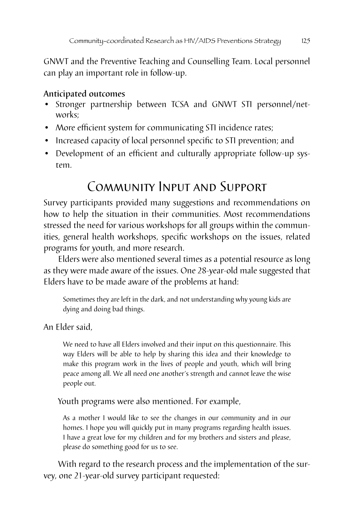GNWT and the Preventive Teaching and Counselling Team. Local personnel can play an important role in follow-up.

#### Anticipated outcomes

- Stronger partnership between TCSA and GNWT STI personnel/networks;
- More efficient system for communicating STI incidence rates;
- Increased capacity of local personnel specific to STI prevention; and
- Development of an efficient and culturally appropriate follow-up system.

# Community Input and Support

Survey participants provided many suggestions and recommendations on how to help the situation in their communities. Most recommendations stressed the need for various workshops for all groups within the communities, general health workshops, specific workshops on the issues, related programs for youth, and more research.

Elders were also mentioned several times as a potential resource as long as they were made aware of the issues. One 28-year-old male suggested that Elders have to be made aware of the problems at hand:

Sometimes they are left in the dark, and not understanding why young kids are dying and doing bad things.

An Elder said,

We need to have all Elders involved and their input on this questionnaire. This way Elders will be able to help by sharing this idea and their knowledge to make this program work in the lives of people and youth, which will bring peace among all. We all need one another's strength and cannot leave the wise people out.

Youth programs were also mentioned. For example,

As a mother I would like to see the changes in our community and in our homes. I hope you will quickly put in many programs regarding health issues. I have a great love for my children and for my brothers and sisters and please, please do something good for us to see.

With regard to the research process and the implementation of the survey, one 21-year-old survey participant requested: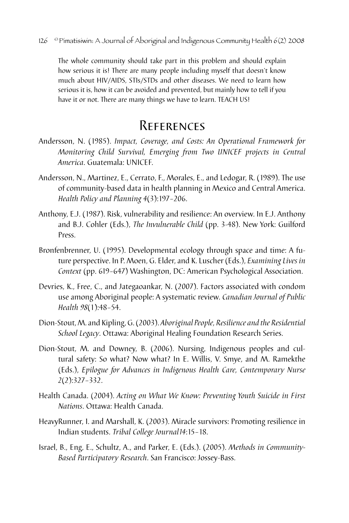The whole community should take part in this problem and should explain how serious it is! There are many people including myself that doesn't know much about HIV/AIDS, STIs/STDs and other diseases. We need to learn how serious it is, how it can be avoided and prevented, but mainly how to tell if you have it or not. There are many things we have to learn. TEACH US!

## **REFERENCES**

- Andersson, N. (1985). *Impact, Coverage, and Costs: An Operational Framework for Monitoring Child Survival, Emerging from Two UNICEF projects in Central America*. Guatemala: UNICEF.
- Andersson, N., Martinez, E., Cerrato, F., Morales, E., and Ledogar, R. (1989). The use of community-based data in health planning in Mexico and Central America. *Health Policy and Planning 4*(3):197–206.
- Anthony, E.J. (1987). Risk, vulnerability and resilience: An overview. In E.J. Anthony and B.J. Cohler (Eds.), *The Invulnerable Child* (pp. 3-48). New York: Guilford Press.
- Bronfenbrenner, U. (1995). Developmental ecology through space and time: A future perspective. In P. Moen, G. Elder, and K. Luscher (Eds.), *Examining Lives in Context* (pp. 619–647) Washington, DC: American Psychological Association.
- Devries, K., Free, C., and Jategaoankar, N. (2007). Factors associated with condom use among Aboriginal people: A systematic review. *Canadian Journal of Public Health 98*(1):48–54.
- Dion-Stout, M. and Kipling, G. (2003). *Aboriginal People, Resilience and the Residential School Legacy*. Ottawa: Aboriginal Healing Foundation Research Series.
- Dion-Stout, M. and Downey, B. (2006). Nursing, Indigenous peoples and cultural safety: So what? Now what? In E. Willis, V. Smye, and M. Ramekthe (Eds.), *Epilogue for Advances in Indigenous Health Care, Contemporary Nurse 2*(2):327–332.
- Health Canada. (2004). *Acting on What We Know: Preventing Youth Suicide in First Nations*. Ottawa: Health Canada.
- HeavyRunner, I. and Marshall, K. (2003). Miracle survivors: Promoting resilience in Indian students. *Tribal College Journal14*:15–18.
- Israel, B., Eng, E., Schultz, A., and Parker, E. (Eds.). (2005). *Methods in Community-Based Participatory Research*. San Francisco: Jossey-Bass.